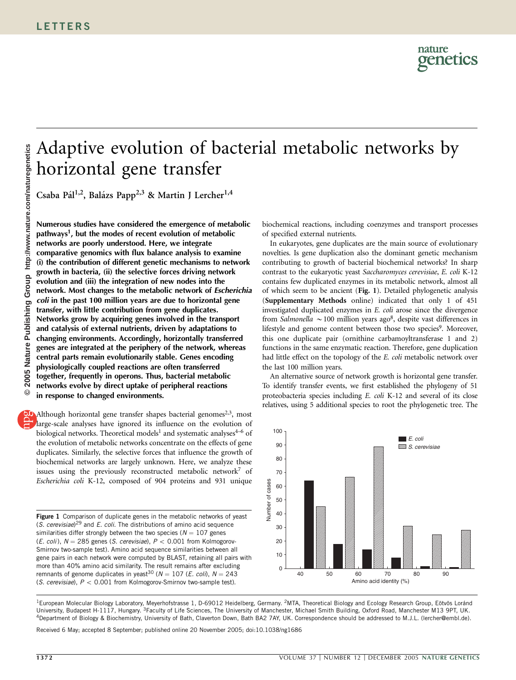## Adaptive evolution of bacterial metabolic networks by horizontal gene transfer

Csaba Pál<sup>1,2</sup>, Balázs Papp<sup>2,3</sup> & Martin J Lercher<sup>1,4</sup>

Numerous studies have considered the emergence of metabolic pathways<sup>1</sup>, but the modes of recent evolution of metabolic networks are poorly understood. Here, we integrate comparative genomics with flux balance analysis to examine (i) the contribution of different genetic mechanisms to network growth in bacteria, (ii) the selective forces driving network evolution and (iii) the integration of new nodes into the network. Most changes to the metabolic network of Escherichia coli in the past 100 million years are due to horizontal gene transfer, with little contribution from gene duplicates. Networks grow by acquiring genes involved in the transport and catalysis of external nutrients, driven by adaptations to changing environments. Accordingly, horizontally transferred genes are integrated at the periphery of the network, whereas central parts remain evolutionarily stable. Genes encoding physiologically coupled reactions are often transferred together, frequently in operons. Thus, bacterial metabolic networks evolve by direct uptake of peripheral reactions in response to changed environments.

Although horizontal gene transfer shapes bacterial genomes<sup>2,3</sup>, most large-scale analyses have ignored its influence on the evolution of biological networks. Theoretical models<sup>1</sup> and systematic analyses<sup>4-6</sup> of the evolution of metabolic networks concentrate on the effects of gene duplicates. Similarly, the selective forces that influence the growth of biochemical networks are largely unknown. Here, we analyze these issues using the previously reconstructed metabolic network<sup>7</sup> of Escherichia coli K-12, composed of 904 proteins and 931 unique

Figure 1 Comparison of duplicate genes in the metabolic networks of yeast (S. cerevisiae)<sup>29</sup> and E. coli. The distributions of amino acid sequence similarities differ strongly between the two species ( $N = 107$  genes (E. coli),  $N = 285$  genes (S. cerevisiae),  $P < 0.001$  from Kolmogorov-Smirnov two-sample test). Amino acid sequence similarities between all gene pairs in each network were computed by BLAST, retaining all pairs with more than 40% amino acid similarity. The result remains after excluding remnants of genome duplicates in yeast<sup>30</sup> ( $N = 107$  (*E. coli*),  $N = 243$ (S. cerevisiae),  $P < 0.001$  from Kolmogorov-Smirnov two-sample test).

biochemical reactions, including coenzymes and transport processes of specified external nutrients.

In eukaryotes, gene duplicates are the main source of evolutionary novelties. Is gene duplication also the dominant genetic mechanism contributing to growth of bacterial biochemical networks? In sharp contrast to the eukaryotic yeast Saccharomyces cerevisiae, E. coli K-12 contains few duplicated enzymes in its metabolic network, almost all of which seem to be ancient (Fig. 1). Detailed phylogenetic analysis (Supplementary Methods online) indicated that only 1 of 451 investigated duplicated enzymes in E. coli arose since the divergence from *Salmonella*  $\sim$  100 million years ago<sup>8</sup>, despite vast differences in lifestyle and genome content between those two species<sup>9</sup>. Moreover, this one duplicate pair (ornithine carbamoyltransferase 1 and 2) functions in the same enzymatic reaction. Therefore, gene duplication had little effect on the topology of the E. coli metabolic network over the last 100 million years.

An alternative source of network growth is horizontal gene transfer. To identify transfer events, we first established the phylogeny of 51 proteobacteria species including E. coli K-12 and several of its close relatives, using 5 additional species to root the phylogenetic tree. The



<sup>1</sup>European Molecular Biology Laboratory, Meyerhofstrasse 1, D-69012 Heidelberg, Germany. <sup>2</sup>MTA, Theoretical Biology and Ecology Research Group, Eötvös Loránd University, Budapest H-1117, Hungary. <sup>3</sup>Faculty of Life Sciences, The University of Manchester, Michael Smith Building, Oxford Road, Manchester M13 9PT, UK. 4Department of Biology & Biochemistry, University of Bath, Claverton Down, Bath BA2 7AY, UK. Correspondence should be addressed to M.J.L. (lercher@embl.de).

Received 6 May; accepted 8 September; published online 20 November 2005; doi:10.1038/ng1686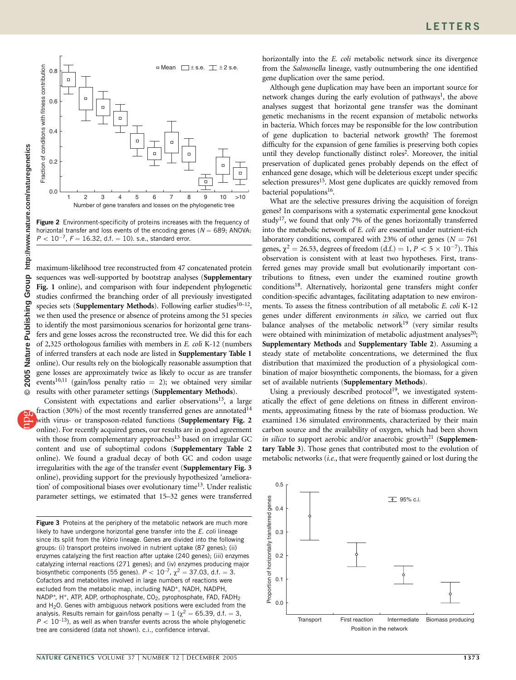

Figure 2 Environment-specificity of proteins increases with the frequency of horizontal transfer and loss events of the encoding genes ( $N = 689$ ; ANOVA:  $P < 10^{-7}$ ,  $F = 16.32$ , d.f. = 10). s.e., standard error.

maximum-likelihood tree reconstructed from 47 concatenated protein sequences was well-supported by bootstrap analyses (Supplementary Fig. 1 online), and comparison with four independent phylogenetic studies confirmed the branching order of all previously investigated species sets (Supplementary Methods). Following earlier studies $10-12$ , we then used the presence or absence of proteins among the 51 species to identify the most parsimonious scenarios for horizontal gene transfers and gene losses across the reconstructed tree. We did this for each of 2,325 orthologous families with members in E. coli K-12 (numbers of inferred transfers at each node are listed in Supplementary Table 1 online). Our results rely on the biologically reasonable assumption that gene losses are approximately twice as likely to occur as are transfer events<sup>10,11</sup> (gain/loss penalty ratio  $= 2$ ); we obtained very similar results with other parameter settings (Supplementary Methods).

Consistent with expectations and earlier observations<sup>13</sup>, a large fraction (30%) of the most recently transferred genes are annotated<sup>14</sup> with virus- or transposon-related functions (Supplementary Fig. 2 online). For recently acquired genes, our results are in good agreement with those from complementary approaches<sup>13</sup> based on irregular GC content and use of suboptimal codons (Supplementary Table 2 online). We found a gradual decay of both GC and codon usage irregularities with the age of the transfer event (Supplementary Fig. 3 online), providing support for the previously hypothesized 'amelioration' of compositional biases over evolutionary time<sup>13</sup>. Under realistic parameter settings, we estimated that 15–32 genes were transferred

Figure 3 Proteins at the periphery of the metabolic network are much more likely to have undergone horizontal gene transfer into the  $E.$  coli lineage since its split from the Vibrio lineage. Genes are divided into the following groups: (i) transport proteins involved in nutrient uptake (87 genes); (ii) enzymes catalyzing the first reaction after uptake (240 genes); (iii) enzymes catalyzing internal reactions (271 genes); and (iv) enzymes producing major biosynthetic components (55 genes).  $P < 10^{-7}$ ,  $\chi^2 = 37.03$ , d.f. = 3. Cofactors and metabolites involved in large numbers of reactions were excluded from the metabolic map, including NAD<sup>+</sup>, NADH, NADPH, NADP<sup>+</sup>, H<sup>+</sup>, ATP, ADP, orthophosphate, CO<sub>2</sub>, pyrophosphate, FAD, FADH<sub>2</sub> and  $H<sub>2</sub>O$ . Genes with ambiguous network positions were excluded from the analysis. Results remain for gain/loss penalty = 1 ( $\chi^2$  = 65.39, d.f. = 3,  $P < 10^{-13}$ ), as well as when transfer events across the whole phylogenetic tree are considered (data not shown). c.i., confidence interval.

horizontally into the *E. coli* metabolic network since its divergence from the Salmonella lineage, vastly outnumbering the one identified gene duplication over the same period.

Although gene duplication may have been an important source for network changes during the early evolution of pathways<sup>1</sup>, the above analyses suggest that horizontal gene transfer was the dominant genetic mechanisms in the recent expansion of metabolic networks in bacteria. Which forces may be responsible for the low contribution of gene duplication to bacterial network growth? The foremost difficulty for the expansion of gene families is preserving both copies until they develop functionally distinct roles<sup>2</sup>. Moreover, the initial preservation of duplicated genes probably depends on the effect of enhanced gene dosage, which will be deleterious except under specific selection pressures<sup>15</sup>. Most gene duplicates are quickly removed from bacterial populations<sup>16</sup>.

What are the selective pressures driving the acquisition of foreign genes? In comparisons with a systematic experimental gene knockout study17, we found that only 7% of the genes horizontally transferred into the metabolic network of E. coli are essential under nutrient-rich laboratory conditions, compared with 23% of other genes ( $N = 761$ genes,  $\chi^2 = 26.53$ , degrees of freedom (d.f.) = 1,  $P < 5 \times 10^{-7}$ ). This observation is consistent with at least two hypotheses. First, transferred genes may provide small but evolutionarily important contributions to fitness, even under the examined routine growth conditions<sup>18</sup>. Alternatively, horizontal gene transfers might confer condition-specific advantages, facilitating adaptation to new environments. To assess the fitness contribution of all metabolic E. coli K-12 genes under different environments in silico, we carried out flux balance analyses of the metabolic network $19$  (very similar results were obtained with minimization of metabolic adjustment analyses $20$ ; Supplementary Methods and Supplementary Table 2). Assuming a steady state of metabolite concentrations, we determined the flux distribution that maximized the production of a physiological combination of major biosynthetic components, the biomass, for a given set of available nutrients (Supplementary Methods).

Using a previously described protocol<sup>19</sup>, we investigated systematically the effect of gene deletions on fitness in different environments, approximating fitness by the rate of biomass production. We examined 136 simulated environments, characterized by their main carbon source and the availability of oxygen, which had been shown in silico to support aerobic and/or anaerobic growth<sup>21</sup> (Supplementary Table 3). Those genes that contributed most to the evolution of metabolic networks (i.e., that were frequently gained or lost during the

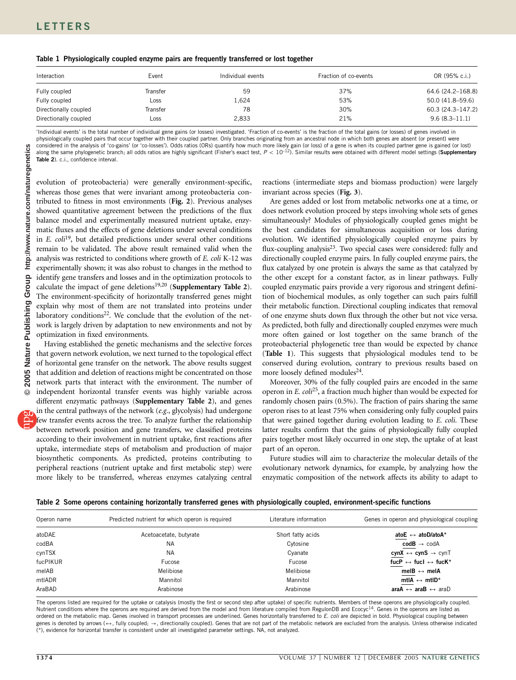|  |  | Table 1 Physiologically coupled enzyme pairs are frequently transferred or lost together |
|--|--|------------------------------------------------------------------------------------------|
|  |  |                                                                                          |

| Interaction           | Event    | Individual events | Fraction of co-events | OR (95% c.i.)     |
|-----------------------|----------|-------------------|-----------------------|-------------------|
| Fully coupled         | Transfer | 59                | 37%                   | 64.6 (24.2–168.8) |
| Fully coupled         | Loss     | 1,624             | 53%                   | 50.0 (41.8–59.6)  |
| Directionally coupled | Transfer | 78                | 30%                   | 60.3 (24.3-147.2) |
| Directionally coupled | Loss     | 2,833             | 21%                   | $9.6(8.3-11.1)$   |

'Individual events' is the total number of individual gene gains (or losses) investigated. 'Fraction of co-events' is the fraction of the total gains (or losses) of genes involved in physiologically coupled pairs that occur together with their coupled partner. Only branches originating from an ancestral node in which both genes are absent (or present) were considered in the analysis of 'co-gains' (or 'co-losses'). Odds ratios (ORs) quantify how much more likely gain (or loss) of a gene is when its coupled partner gene is gained (or lost)<br>along the same phylogenetic branch; a Table 2). c.i., confidence interval.

evolution of proteobacteria) were generally environment-specific, whereas those genes that were invariant among proteobacteria contributed to fitness in most environments (Fig. 2). Previous analyses showed quantitative agreement between the predictions of the flux balance model and experimentally measured nutrient uptake, enzymatic fluxes and the effects of gene deletions under several conditions in E. coli<sup>19</sup>, but detailed predictions under several other conditions remain to be validated. The above result remained valid when the analysis was restricted to conditions where growth of E. coli K-12 was experimentally shown; it was also robust to changes in the method to identify gene transfers and losses and in the optimization protocols to calculate the impact of gene deletions<sup>19,20</sup> (Supplementary Table 2). The environment-specificity of horizontally transferred genes might explain why most of them are not translated into proteins under laboratory conditions<sup>22</sup>. We conclude that the evolution of the network is largely driven by adaptation to new environments and not by optimization in fixed environments.

Having established the genetic mechanisms and the selective forces that govern network evolution, we next turned to the topological effect of horizontal gene transfer on the network. The above results suggest that addition and deletion of reactions might be concentrated on those network parts that interact with the environment. The number of independent horizontal transfer events was highly variable across different enzymatic pathways (Supplementary Table 2), and genes in the central pathways of the network (e.g., glycolysis) had undergone few transfer events across the tree. To analyze further the relationship between network position and gene transfers, we classified proteins according to their involvement in nutrient uptake, first reactions after uptake, intermediate steps of metabolism and production of major biosynthetic components. As predicted, proteins contributing to peripheral reactions (nutrient uptake and first metabolic step) were more likely to be transferred, whereas enzymes catalyzing central reactions (intermediate steps and biomass production) were largely invariant across species (Fig. 3).

Are genes added or lost from metabolic networks one at a time, or does network evolution proceed by steps involving whole sets of genes simultaneously? Modules of physiologically coupled genes might be the best candidates for simultaneous acquisition or loss during evolution. We identified physiologically coupled enzyme pairs by flux-coupling analysis<sup>23</sup>. Two special cases were considered: fully and directionally coupled enzyme pairs. In fully coupled enzyme pairs, the flux catalyzed by one protein is always the same as that catalyzed by the other except for a constant factor, as in linear pathways. Fully coupled enzymatic pairs provide a very rigorous and stringent definition of biochemical modules, as only together can such pairs fulfill their metabolic function. Directional coupling indicates that removal of one enzyme shuts down flux through the other but not vice versa. As predicted, both fully and directionally coupled enzymes were much more often gained or lost together on the same branch of the proteobacterial phylogenetic tree than would be expected by chance (Table 1). This suggests that physiological modules tend to be conserved during evolution, contrary to previous results based on more loosely defined modules<sup>24</sup>.

Moreover, 30% of the fully coupled pairs are encoded in the same operon in E.  $\text{coli}^{25}$ , a fraction much higher than would be expected for randomly chosen pairs (0.5%). The fraction of pairs sharing the same operon rises to at least 75% when considering only fully coupled pairs that were gained together during evolution leading to E. coli. These latter results confirm that the gains of physiologically fully coupled pairs together most likely occurred in one step, the uptake of at least part of an operon.

Future studies will aim to characterize the molecular details of the evolutionary network dynamics, for example, by analyzing how the enzymatic composition of the network affects its ability to adapt to

|  | Table 2 Some operons containing horizontally transferred genes with physiologically coupled, environment-specific functions |  |  |  |
|--|-----------------------------------------------------------------------------------------------------------------------------|--|--|--|
|  |                                                                                                                             |  |  |  |
|  |                                                                                                                             |  |  |  |
|  |                                                                                                                             |  |  |  |

| Operon name | Predicted nutrient for which operon is required | Literature information | Genes in operon and physiological coupling                |
|-------------|-------------------------------------------------|------------------------|-----------------------------------------------------------|
| atoDAE      | Acetoacetate, butyrate                          | Short fatty acids      | atoE $\leftrightarrow$ atoD/atoA*                         |
| codBA       | <b>NA</b>                                       | Cytosine               | $\text{cod} \mathbf{B} \rightarrow \text{cod} \mathbf{A}$ |
| cynTSX      | <b>NA</b>                                       | Cyanate                | cynX $\leftrightarrow$ cynS $\rightarrow$ cynT            |
| fucPIKUR    | Fucose                                          | Fucose                 | fucP $\leftrightarrow$ fucl $\leftrightarrow$ fucK*       |
| melAB       | Melibiose                                       | Melibiose              | melB $\leftrightarrow$ melA                               |
| mtIADR      | Mannitol                                        | Mannitol               | mtlA $\leftrightarrow$ mtlD <sup>*</sup>                  |
| AraBAD      | Arabinose                                       | Arabinose              | araA $\leftrightarrow$ araB $\leftrightarrow$ araD        |

The operons listed are required for the uptake or catalysis (mostly the first or second step after uptake) of specific nutrients. Members of these operons are physiologically coupled. Nutrient conditions where the operons are required are derived from the model and from literature compiled from RegulonDB and Ecocyc<sup>14</sup>. Genes in the operons are listed as ordered on the metabolic map. Genes involved in transport processes are underlined. Genes horizontally transferred to E. coli are depicted in bold. Physiological coupling between genes is denoted by arrows ( $\leftrightarrow$ , fully coupled;  $\rightarrow$ , directionally coupled). Genes that are not part of the metabolic network are excluded from the analysis. Unless otherwise indicated (\*), evidence for horizontal transfer is consistent under all investigated parameter settings. NA, not analyzed.